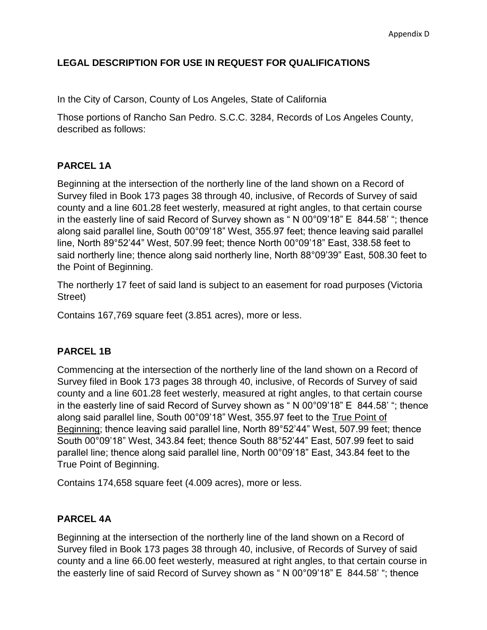## **LEGAL DESCRIPTION FOR USE IN REQUEST FOR QUALIFICATIONS**

In the City of Carson, County of Los Angeles, State of California

Those portions of Rancho San Pedro. S.C.C. 3284, Records of Los Angeles County, described as follows:

### **PARCEL 1A**

Beginning at the intersection of the northerly line of the land shown on a Record of Survey filed in Book 173 pages 38 through 40, inclusive, of Records of Survey of said county and a line 601.28 feet westerly, measured at right angles, to that certain course in the easterly line of said Record of Survey shown as " N 00°09'18" E 844.58' "; thence along said parallel line, South 00°09'18" West, 355.97 feet; thence leaving said parallel line, North 89°52'44" West, 507.99 feet; thence North 00°09'18" East, 338.58 feet to said northerly line; thence along said northerly line, North 88°09'39" East, 508.30 feet to the Point of Beginning.

The northerly 17 feet of said land is subject to an easement for road purposes (Victoria Street)

Contains 167,769 square feet (3.851 acres), more or less.

#### **PARCEL 1B**

Commencing at the intersection of the northerly line of the land shown on a Record of Survey filed in Book 173 pages 38 through 40, inclusive, of Records of Survey of said county and a line 601.28 feet westerly, measured at right angles, to that certain course in the easterly line of said Record of Survey shown as " N 00°09'18" E 844.58' "; thence along said parallel line, South 00°09'18" West, 355.97 feet to the True Point of Beginning; thence leaving said parallel line, North 89°52'44" West, 507.99 feet; thence South 00°09'18" West, 343.84 feet; thence South 88°52'44" East, 507.99 feet to said parallel line; thence along said parallel line, North 00°09'18" East, 343.84 feet to the True Point of Beginning.

Contains 174,658 square feet (4.009 acres), more or less.

#### **PARCEL 4A**

Beginning at the intersection of the northerly line of the land shown on a Record of Survey filed in Book 173 pages 38 through 40, inclusive, of Records of Survey of said county and a line 66.00 feet westerly, measured at right angles, to that certain course in the easterly line of said Record of Survey shown as " N 00°09'18" E 844.58' "; thence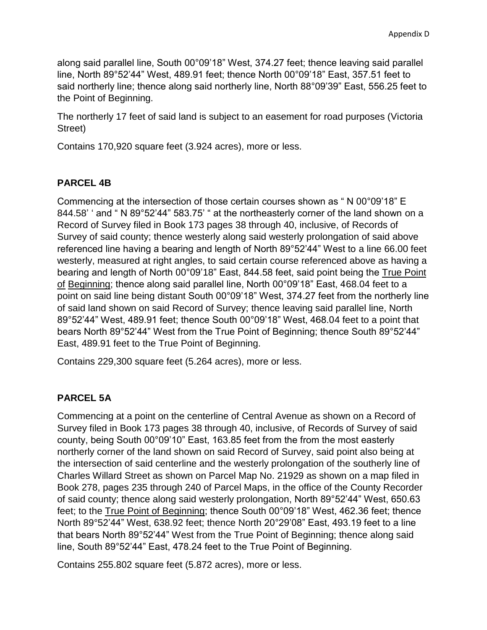along said parallel line, South 00°09'18" West, 374.27 feet; thence leaving said parallel line, North 89°52'44" West, 489.91 feet; thence North 00°09'18" East, 357.51 feet to said northerly line; thence along said northerly line, North 88°09'39" East, 556.25 feet to the Point of Beginning.

The northerly 17 feet of said land is subject to an easement for road purposes (Victoria Street)

Contains 170,920 square feet (3.924 acres), more or less.

## **PARCEL 4B**

Commencing at the intersection of those certain courses shown as " N 00°09'18" E 844.58' ' and " N 89°52'44" 583.75' " at the northeasterly corner of the land shown on a Record of Survey filed in Book 173 pages 38 through 40, inclusive, of Records of Survey of said county; thence westerly along said westerly prolongation of said above referenced line having a bearing and length of North 89°52'44" West to a line 66.00 feet westerly, measured at right angles, to said certain course referenced above as having a bearing and length of North 00°09'18" East, 844.58 feet, said point being the True Point of Beginning; thence along said parallel line, North 00°09'18" East, 468.04 feet to a point on said line being distant South 00°09'18" West, 374.27 feet from the northerly line of said land shown on said Record of Survey; thence leaving said parallel line, North 89°52'44" West, 489.91 feet; thence South 00°09'18" West, 468.04 feet to a point that bears North 89°52'44" West from the True Point of Beginning; thence South 89°52'44" East, 489.91 feet to the True Point of Beginning.

Contains 229,300 square feet (5.264 acres), more or less.

#### **PARCEL 5A**

Commencing at a point on the centerline of Central Avenue as shown on a Record of Survey filed in Book 173 pages 38 through 40, inclusive, of Records of Survey of said county, being South 00°09'10" East, 163.85 feet from the from the most easterly northerly corner of the land shown on said Record of Survey, said point also being at the intersection of said centerline and the westerly prolongation of the southerly line of Charles Willard Street as shown on Parcel Map No. 21929 as shown on a map filed in Book 278, pages 235 through 240 of Parcel Maps, in the office of the County Recorder of said county; thence along said westerly prolongation, North 89°52'44" West, 650.63 feet; to the True Point of Beginning; thence South 00°09'18" West, 462.36 feet; thence North 89°52'44" West, 638.92 feet; thence North 20°29'08" East, 493.19 feet to a line that bears North 89°52'44" West from the True Point of Beginning; thence along said line, South 89°52'44" East, 478.24 feet to the True Point of Beginning.

Contains 255.802 square feet (5.872 acres), more or less.